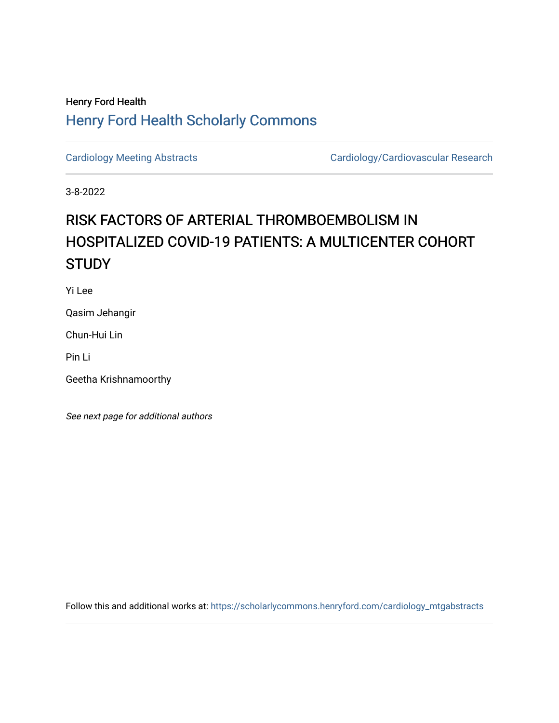## Henry Ford Health [Henry Ford Health Scholarly Commons](https://scholarlycommons.henryford.com/)

[Cardiology Meeting Abstracts](https://scholarlycommons.henryford.com/cardiology_mtgabstracts) Cardiology/Cardiovascular Research

3-8-2022

## RISK FACTORS OF ARTERIAL THROMBOEMBOLISM IN HOSPITALIZED COVID-19 PATIENTS: A MULTICENTER COHORT **STUDY**

Yi Lee

Qasim Jehangir

Chun-Hui Lin

Pin Li

Geetha Krishnamoorthy

See next page for additional authors

Follow this and additional works at: [https://scholarlycommons.henryford.com/cardiology\\_mtgabstracts](https://scholarlycommons.henryford.com/cardiology_mtgabstracts?utm_source=scholarlycommons.henryford.com%2Fcardiology_mtgabstracts%2F333&utm_medium=PDF&utm_campaign=PDFCoverPages)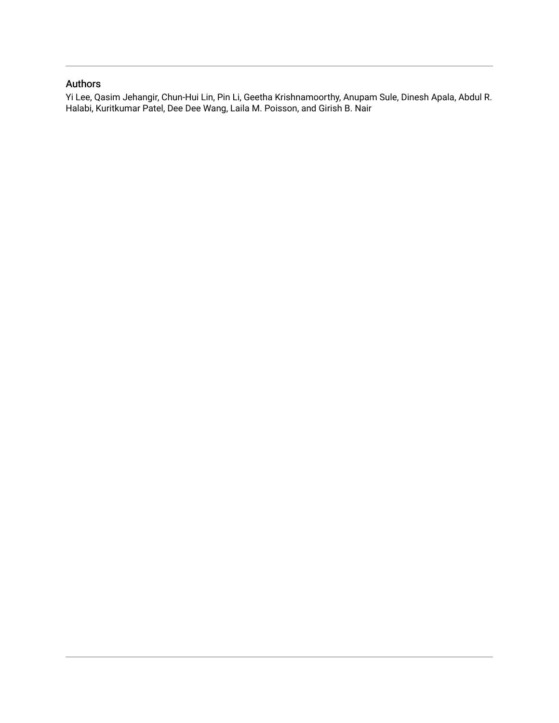## Authors

Yi Lee, Qasim Jehangir, Chun-Hui Lin, Pin Li, Geetha Krishnamoorthy, Anupam Sule, Dinesh Apala, Abdul R. Halabi, Kuritkumar Patel, Dee Dee Wang, Laila M. Poisson, and Girish B. Nair